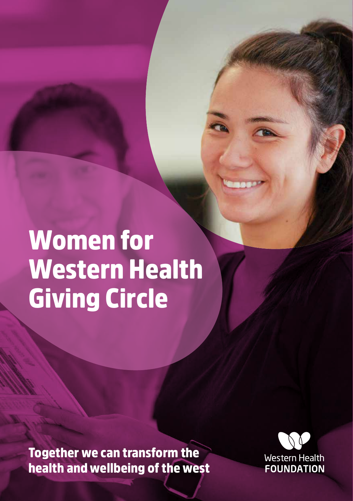# Women for Western Health Giving Circle

Together we can transform the health and wellbeing of the west

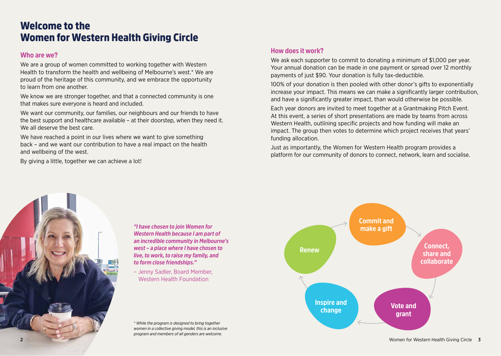# Welcome to the Women for Western Health Giving Circle

#### **Who are we?**

We are a group of women committed to working together with Western Health to transform the health and wellbeing of Melbourne's west.\* We are proud of the heritage of this community, and we embrace the opportunity to learn from one another.

We know we are stronger together, and that a connected community is one that makes sure everyone is heard and included.

We want our community, our families, our neighbours and our friends to have the best support and healthcare available – at their doorstep, when they need it. We all deserve the best care.

We have reached a point in our lives where we want to give something back – and we want our contribution to have a real impact on the health and wellbeing of the west.

By giving a little, together we can achieve a lot!

# **How does it work?**

We ask each supporter to commit to donating a minimum of \$1,000 per year. Your annual donation can be made in one payment or spread over 12 monthly payments of just \$90. Your donation is fully tax-deductible.

100% of your donation is then pooled with other donor's gifts to exponentially increase your impact. This means we can make a significantly larger contribution, and have a significantly greater impact, than would otherwise be possible.

Each year donors are invited to meet together at a Grantmaking Pitch Event. At this event, a series of short presentations are made by teams from across Western Health, outlining specific projects and how funding will make an impact. The group then votes to determine which project receives that years' funding allocation.

Just as importantly, the Women for Western Health program provides a platform for our community of donors to connect, network, learn and socialise.



*"I have chosen to join Women for Western Health because I am part of an incredible community in Melbourne's west – a place where I have chosen to live, to work, to raise my family, and to form close friendships."* 

– Jenny Sadler, Board Member, Western Health Foundation

*\* While the program is designed to bring together women in a collective giving model, this is an inclusive program and members of all genders are welcome.*

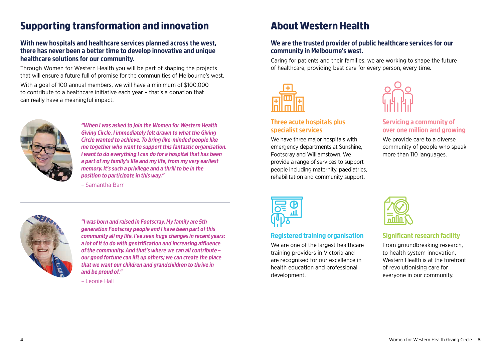# Supporting transformation and innovation

### **With new hospitals and healthcare services planned across the west, there has never been a better time to develop innovative and unique healthcare solutions for our community.**

Through Women for Western Health you will be part of shaping the projects that will ensure a future full of promise for the communities of Melbourne's west. With a goal of 100 annual members, we will have a minimum of \$100,000 to contribute to a healthcare initiative each year – that's a donation that can really have a meaningful impact.



*"When I was asked to join the Women for Western Health Giving Circle, I immediately felt drawn to what the Giving Circle wanted to achieve. To bring like-minded people like me together who want to support this fantastic organisation. I want to do everything I can do for a hospital that has been a part of my family's life and my life, from my very earliest memory. It's such a privilege and a thrill to be in the position to participate in this way." –* Samantha Barr





*"I was born and raised in Footscray. My family are 5th generation Footscray people and I have been part of this community all my life. I've seen huge changes in recent years: a lot of it to do with gentrification and increasing affluence of the community. And that's where we can all contribute – our good fortune can lift up others; we can create the place that we want our children and grandchildren to thrive in and be proud of."* 

*–* Leonie Hall

# About Western Health

#### **We are the trusted provider of public healthcare services for our community in Melbourne's west.**

Caring for patients and their families, we are working to shape the future of healthcare, providing best care for every person, every time.



#### **Three acute hospitals plus specialist services**

We have three major hospitals with emergency departments at Sunshine, Footscray and Williamstown. We provide a range of services to support people including maternity, paediatrics, rehabilitation and community support.



### **Servicing a community of over one million and growing**

We provide care to a diverse community of people who speak more than 110 languages.



### **Registered training organisation**

We are one of the largest healthcare training providers in Victoria and are recognised for our excellence in health education and professional development.



### **Significant research facility**

From groundbreaking research, to health system innovation, Western Health is at the forefront of revolutionising care for everyone in our community.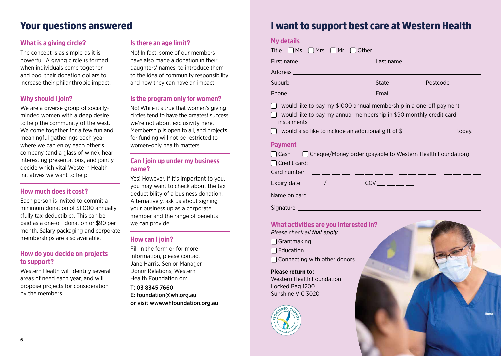# Your questions answered

# **What is a giving circle?**

The concept is as simple as it is powerful. A giving circle is formed when individuals come together and pool their donation dollars to increase their philanthropic impact.

## **Why should I join?**

We are a diverse group of sociallyminded women with a deep desire to help the community of the west. We come together for a few fun and meaningful gatherings each year where we can enjoy each other's company (and a glass of wine), hear interesting presentations, and jointly decide which vital Western Health initiatives we want to help.

# **How much does it cost?**

Each person is invited to commit a minimum donation of \$1,000 annually (fully tax-deductible). This can be paid as a one-off donation or \$90 per month. Salary packaging and corporate memberships are also available.

#### **How do you decide on projects to support?**

Western Health will identify several areas of need each year, and will propose projects for consideration by the members.

## **Is there an age limit?**

No! In fact, some of our members have also made a donation in their daughters' names, to introduce them to the idea of community responsibility and how they can have an impact.

### **Is the program only for women?**

No! While it's true that women's giving circles tend to have the greatest success, we're not about exclusivity here. Membership is open to all, and projects for funding will not be restricted to women-only health matters.

# **Can I join up under my business name?**

Yes! However, if it's important to you, you may want to check about the tax deductibility of a business donation. Alternatively, ask us about signing your business up as a corporate member and the range of benefits we can provide.

# **How can I join?**

Fill in the form or for more information, please contact Jane Harris, Senior Manager Donor Relations, Western Health Foundation on:

T: 03 8345 7660 E: foundation@wh.org.au or visit www.whfoundation.org.au

# I want to support best care at Western Health

| <b>My details</b>                                                                                                                                                                                                                                                           |                                                                                                               |  |
|-----------------------------------------------------------------------------------------------------------------------------------------------------------------------------------------------------------------------------------------------------------------------------|---------------------------------------------------------------------------------------------------------------|--|
| Title $\Box$ Ms $\Box$ Mrs $\Box$ Mr $\Box$ Other $\Box$ Decree and $\Box$ Mrs $\Box$ Mrs $\Box$ Other $\Box$ Mrs $\Box$ Other $\Box$ Mrs $\Box$ Mrs $\Box$ Mrs $\Box$ Mrs $\Box$ Mrs $\Box$ Other $\Box$ Mrs $\Box$ Mrs $\Box$ Mrs $\Box$ Mrs $\Box$ Mrs $\Box$ Mrs $\Box$ |                                                                                                               |  |
|                                                                                                                                                                                                                                                                             |                                                                                                               |  |
|                                                                                                                                                                                                                                                                             |                                                                                                               |  |
| Suburb ______________________________                                                                                                                                                                                                                                       | State Postcode                                                                                                |  |
|                                                                                                                                                                                                                                                                             | Email and the contract of the contract of the contract of the contract of the contract of the contract of the |  |
| $\Box$ I would like to pay my \$1000 annual membership in a one-off payment<br>□ I would like to pay my annual membership in \$90 monthly credit card<br>instalments                                                                                                        |                                                                                                               |  |
| □ I would also like to include an additional gift of \$ ____________________ today.                                                                                                                                                                                         |                                                                                                               |  |
| <b>Payment</b><br>$\Box$ Cash $\Box$ Cheque/Money order (payable to Western Health Foundation)<br>□ Credit card:                                                                                                                                                            |                                                                                                               |  |
| Expiry date $\_\_$ / $\_\_$                                                                                                                                                                                                                                                 | $CCV$ __ __ __ __                                                                                             |  |

Name on card

Signature **Signature** 

### **What activities are you interested in?**

*Please check all that apply.*

- □ Grantmaking
- $\Box$  Education

Connecting with other donors

#### **Please return to:**

Western Health Foundation Locked Bag 1200 Sunshine VIC 3020